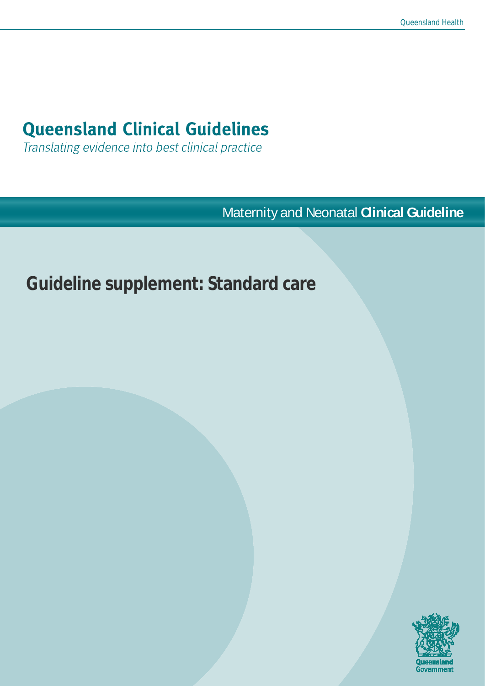# **Queensland Clinical Guidelines**

Translating evidence into best clinical practice

Maternity and Neonatal **Clinical Guideline**

# **Guideline supplement: Standard care**

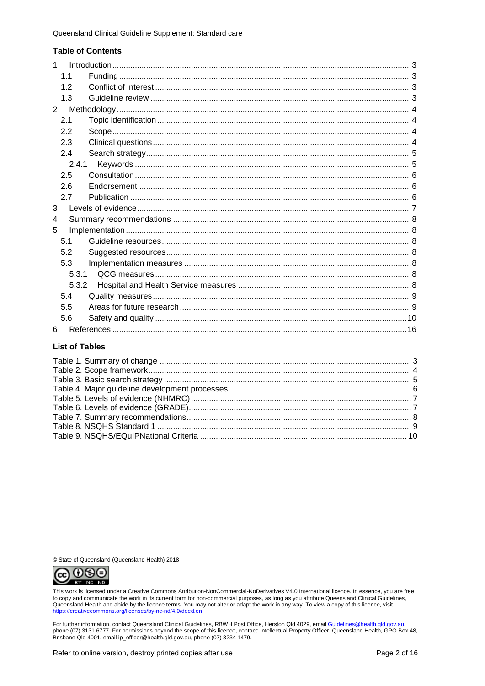#### **Table of Contents**

| 1             |       |  |
|---------------|-------|--|
|               | 1.1   |  |
|               | 12    |  |
|               | 1.3   |  |
| $\mathcal{P}$ |       |  |
|               | 2.1   |  |
|               | 2.2   |  |
|               | 2.3   |  |
|               | 2.4   |  |
|               | 2.4.1 |  |
|               | 2.5   |  |
|               | 2.6   |  |
|               | 2.7   |  |
| 3             |       |  |
| 4             |       |  |
| 5             |       |  |
|               | 5.1   |  |
|               | 5.2   |  |
|               | 5.3   |  |
|               | 5.3.1 |  |
|               | 5.3.2 |  |
|               | 5.4   |  |
|               | 5.5   |  |
|               | 5.6   |  |
| 6             |       |  |

#### **List of Tables**

© State of Queensland (Queensland Health) 2018



This work is licensed under a Creative Commons Attribution-NonCommercial-NoDerivatives V4.0 International licence. In essence, you are free to copy and communicate the work in its current form for non-commercial purposes, as long as you attribute Queensland Clinical Guidelines,<br>Queensland Health and abide by the licence terms. You may not alter or adapt the wo https://creativecommons.org/licenses/by-nc-nd/4.0/deed.en

For further information, contact Queensland Clinical Guidelines, RBWH Post Office, Herston Qld 4029, email Guidelines@health.gld.gov.au, phone (07) 3131 6777. For permissions beyond the scope of this licence, contact: Intellectual Property Officer, Queensland Health, GPO Box 48, Brisbane Old 4001, email ip\_officer@health.qld.gov.au, phone (07) 3234 1479.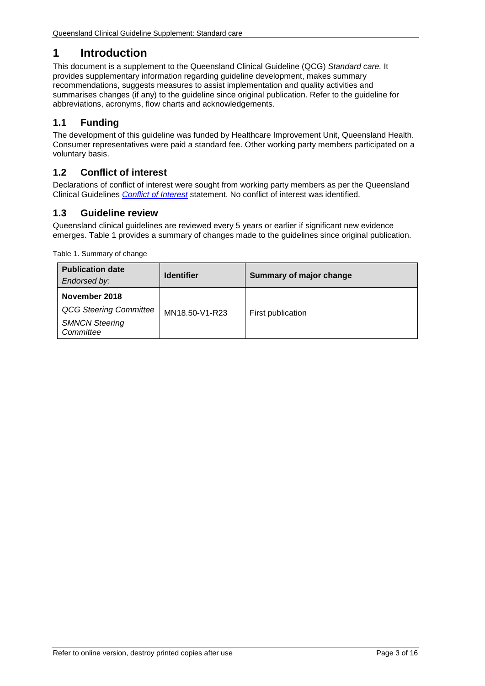# <span id="page-2-0"></span>**1 Introduction**

This document is a supplement to the Queensland Clinical Guideline (QCG) *Standard care.* It provides supplementary information regarding guideline development, makes summary recommendations, suggests measures to assist implementation and quality activities and summarises changes (if any) to the guideline since original publication. Refer to the guideline for abbreviations, acronyms, flow charts and acknowledgements.

# <span id="page-2-1"></span>**1.1 Funding**

The development of this guideline was funded by Healthcare Improvement Unit, Queensland Health. Consumer representatives were paid a standard fee. Other working party members participated on a voluntary basis.

## <span id="page-2-2"></span>**1.2 Conflict of interest**

Declarations of conflict of interest were sought from working party members as per the Queensland Clinical Guidelines *[Conflict of Interest](http://www.health.qld.gov.au/qcg/development#coi)* statement. No conflict of interest was identified.

## <span id="page-2-3"></span>**1.3 Guideline review**

Queensland clinical guidelines are reviewed every 5 years or earlier if significant new evidence emerges. [Table 1](#page-2-4) provides a summary of changes made to the guidelines since original publication.

<span id="page-2-4"></span>Table 1. Summary of change

| <b>Publication date</b><br>Endorsed by:                                              | <b>Identifier</b> | Summary of major change |
|--------------------------------------------------------------------------------------|-------------------|-------------------------|
| November 2018<br><b>QCG Steering Committee</b><br><b>SMNCN Steering</b><br>Committee | MN18.50-V1-R23    | First publication       |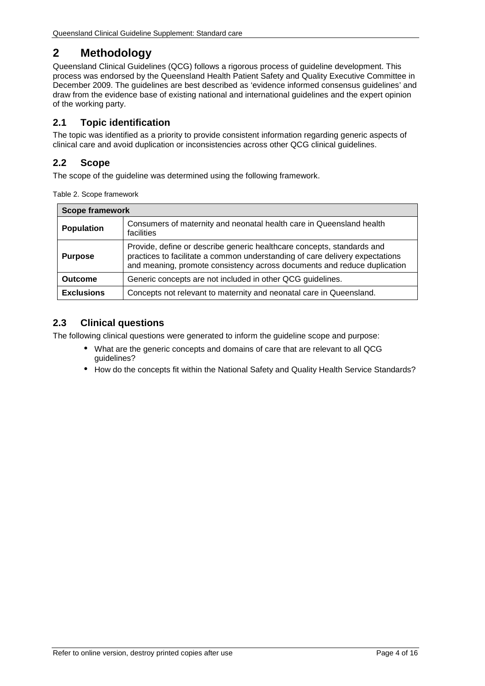# <span id="page-3-0"></span>**2 Methodology**

Queensland Clinical Guidelines (QCG) follows a rigorous process of guideline development. This process was endorsed by the Queensland Health Patient Safety and Quality Executive Committee in December 2009. The guidelines are best described as 'evidence informed consensus guidelines' and draw from the evidence base of existing national and international guidelines and the expert opinion of the working party.

## <span id="page-3-1"></span>**2.1 Topic identification**

The topic was identified as a priority to provide consistent information regarding generic aspects of clinical care and avoid duplication or inconsistencies across other QCG clinical guidelines.

## <span id="page-3-2"></span>**2.2 Scope**

<span id="page-3-4"></span>The scope of the guideline was determined using the following framework.

| Table 2. Scope framework |  |
|--------------------------|--|
|--------------------------|--|

| <b>Scope framework</b> |                                                                                                                                                                                                                                    |  |  |  |
|------------------------|------------------------------------------------------------------------------------------------------------------------------------------------------------------------------------------------------------------------------------|--|--|--|
| <b>Population</b>      | Consumers of maternity and neonatal health care in Queensland health<br>facilities                                                                                                                                                 |  |  |  |
| <b>Purpose</b>         | Provide, define or describe generic healthcare concepts, standards and<br>practices to facilitate a common understanding of care delivery expectations<br>and meaning, promote consistency across documents and reduce duplication |  |  |  |
| <b>Outcome</b>         | Generic concepts are not included in other QCG guidelines.                                                                                                                                                                         |  |  |  |
| <b>Exclusions</b>      | Concepts not relevant to maternity and neonatal care in Queensland.                                                                                                                                                                |  |  |  |

## <span id="page-3-3"></span>**2.3 Clinical questions**

The following clinical questions were generated to inform the guideline scope and purpose:

- What are the generic concepts and domains of care that are relevant to all QCG guidelines?
- How do the concepts fit within the National Safety and Quality Health Service Standards?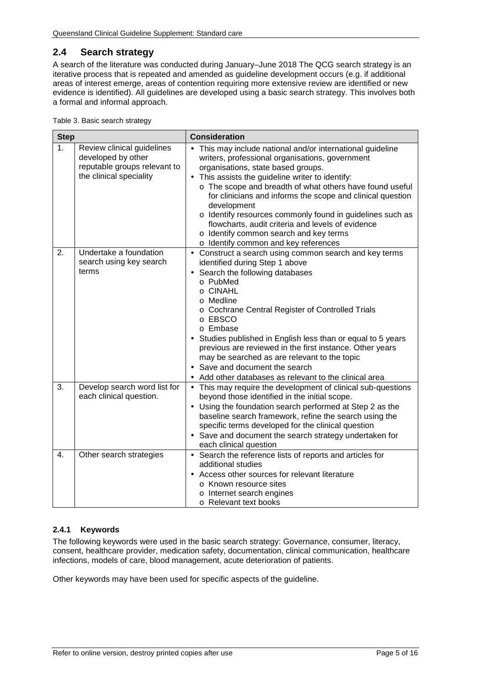## <span id="page-4-0"></span>**2.4 Search strategy**

A search of the literature was conducted during January–June 2018 The QCG search strategy is an iterative process that is repeated and amended as guideline development occurs (e.g. if additional areas of interest emerge, areas of contention requiring more extensive review are identified or new evidence is identified). All guidelines are developed using a basic search strategy. This involves both a formal and informal approach.

<span id="page-4-2"></span>

| Table 3. Basic search strategy |
|--------------------------------|
|--------------------------------|

| <b>Step</b>                                                                                                       |                                                            | <b>Consideration</b>                                                                                                                                                                                                                                                                                                                                                                                                                                                                                                                                               |
|-------------------------------------------------------------------------------------------------------------------|------------------------------------------------------------|--------------------------------------------------------------------------------------------------------------------------------------------------------------------------------------------------------------------------------------------------------------------------------------------------------------------------------------------------------------------------------------------------------------------------------------------------------------------------------------------------------------------------------------------------------------------|
| 1.<br>Review clinical guidelines<br>developed by other<br>reputable groups relevant to<br>the clinical speciality |                                                            | This may include national and/or international guideline<br>writers, professional organisations, government<br>organisations, state based groups.<br>This assists the guideline writer to identify:<br>$\blacksquare$<br>o The scope and breadth of what others have found useful<br>for clinicians and informs the scope and clinical question<br>development<br>o Identify resources commonly found in guidelines such as<br>flowcharts, audit criteria and levels of evidence<br>o Identify common search and key terms<br>o Identify common and key references |
| 2.                                                                                                                | Undertake a foundation<br>search using key search<br>terms | Construct a search using common search and key terms<br>$\blacksquare$<br>identified during Step 1 above<br>Search the following databases<br>o PubMed<br>o CINAHL<br>o Medline<br>o Cochrane Central Register of Controlled Trials<br>o EBSCO<br>o Embase<br>Studies published in English less than or equal to 5 years<br>previous are reviewed in the first instance. Other years<br>may be searched as are relevant to the topic<br>Save and document the search<br>Add other databases as relevant to the clinical area                                       |
| 3.                                                                                                                | Develop search word list for<br>each clinical question.    | This may require the development of clinical sub-questions<br>¥,<br>beyond those identified in the initial scope.<br>Using the foundation search performed at Step 2 as the<br>baseline search framework, refine the search using the<br>specific terms developed for the clinical question<br>Save and document the search strategy undertaken for<br>each clinical question                                                                                                                                                                                      |
| 4.                                                                                                                | Other search strategies                                    | · Search the reference lists of reports and articles for<br>additional studies<br>Access other sources for relevant literature<br>o Known resource sites<br>o Internet search engines<br>o Relevant text books                                                                                                                                                                                                                                                                                                                                                     |

#### <span id="page-4-1"></span>**2.4.1 Keywords**

The following keywords were used in the basic search strategy: Governance, consumer, literacy, consent, healthcare provider, medication safety, documentation, clinical communication, healthcare infections, models of care, blood management, acute deterioration of patients.

Other keywords may have been used for specific aspects of the guideline.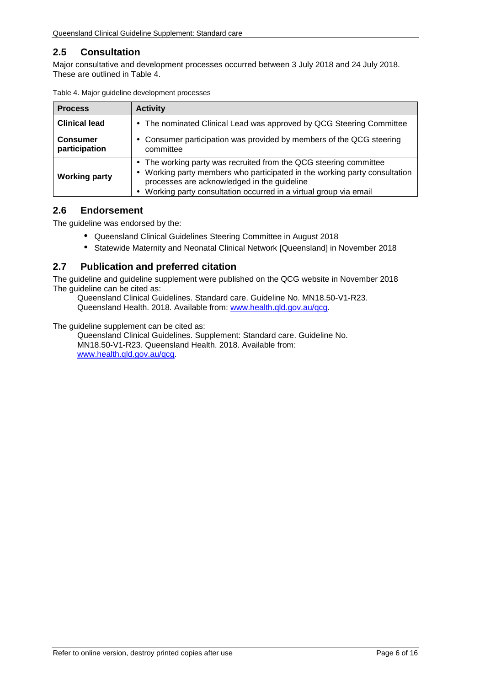## <span id="page-5-0"></span>**2.5 Consultation**

Major consultative and development processes occurred between 3 July 2018 and 24 July 2018. These are outlined in [Table 4.](#page-5-3)

| <b>Process</b>                   | <b>Activity</b>                                                                                                                                                                                                                                                |
|----------------------------------|----------------------------------------------------------------------------------------------------------------------------------------------------------------------------------------------------------------------------------------------------------------|
| <b>Clinical lead</b>             | The nominated Clinical Lead was approved by QCG Steering Committee<br>$\blacksquare$                                                                                                                                                                           |
| <b>Consumer</b><br>participation | Consumer participation was provided by members of the QCG steering<br>٠<br>committee                                                                                                                                                                           |
| <b>Working party</b>             | The working party was recruited from the QCG steering committee<br>Working party members who participated in the working party consultation<br>processes are acknowledged in the guideline<br>Working party consultation occurred in a virtual group via email |

<span id="page-5-3"></span>

| Table 4. Major guideline development processes |  |  |  |  |  |
|------------------------------------------------|--|--|--|--|--|
|------------------------------------------------|--|--|--|--|--|

#### <span id="page-5-1"></span>**2.6 Endorsement**

The guideline was endorsed by the:

- Queensland Clinical Guidelines Steering Committee in August 2018
- $\mathbf{r}^{\prime}$ Statewide Maternity and Neonatal Clinical Network [Queensland] in November 2018

## <span id="page-5-2"></span>**2.7 Publication and preferred citation**

The guideline and guideline supplement were published on the QCG website in November 2018 The guideline can be cited as:

Queensland Clinical Guidelines. Standard care. Guideline No. MN18.50-V1-R23. Queensland Health. 2018. Available from: [www.health.qld.gov.au/qcg.](http://www.health.qld.gov.au/qcg)

The guideline supplement can be cited as:

Queensland Clinical Guidelines. Supplement: Standard care. Guideline No. MN18.50-V1-R23. Queensland Health. 2018. Available from: [www.health.qld.gov.au/qcg.](http://www.health.qld.gov.au/qcg)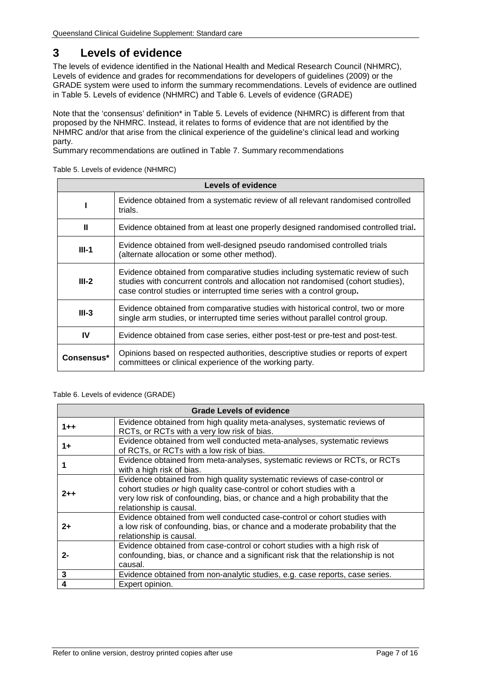# <span id="page-6-0"></span>**3 Levels of evidence**

The levels of evidence identified in the National Health and Medical Research Council (NHMRC), Levels of evidence and grades for recommendations for developers of guidelines (2009) or the GRADE system were used to inform the summary recommendations. Levels of evidence are outlined in [Table 5. Levels of evidence \(NHMRC\)](#page-6-1) and Table 6. [Levels of evidence \(GRADE\)](#page-6-2)

Note that the 'consensus' definition\* in [Table 5. Levels of evidence \(NHMRC\)](#page-6-1) is different from that proposed by the NHMRC. Instead, it relates to forms of evidence that are not identified by the NHMRC and/or that arise from the clinical experience of the guideline's clinical lead and working party.

<span id="page-6-1"></span>Summary recommendations are outlined in [Table 7. Summary recommendations](#page-7-7)

Table 5. Levels of evidence (NHMRC)

| Levels of evidence                                                                                                                  |                                                                                                                                                                                                                                             |  |  |  |
|-------------------------------------------------------------------------------------------------------------------------------------|---------------------------------------------------------------------------------------------------------------------------------------------------------------------------------------------------------------------------------------------|--|--|--|
| Evidence obtained from a systematic review of all relevant randomised controlled<br>trials.                                         |                                                                                                                                                                                                                                             |  |  |  |
| Ш                                                                                                                                   | Evidence obtained from at least one properly designed randomised controlled trial.                                                                                                                                                          |  |  |  |
| Evidence obtained from well-designed pseudo randomised controlled trials<br>$III-1$<br>(alternate allocation or some other method). |                                                                                                                                                                                                                                             |  |  |  |
| $III-2$                                                                                                                             | Evidence obtained from comparative studies including systematic review of such<br>studies with concurrent controls and allocation not randomised (cohort studies),<br>case control studies or interrupted time series with a control group. |  |  |  |
| $III-3$                                                                                                                             | Evidence obtained from comparative studies with historical control, two or more<br>single arm studies, or interrupted time series without parallel control group.                                                                           |  |  |  |
| IV                                                                                                                                  | Evidence obtained from case series, either post-test or pre-test and post-test.                                                                                                                                                             |  |  |  |
| Consensus*                                                                                                                          | Opinions based on respected authorities, descriptive studies or reports of expert<br>committees or clinical experience of the working party.                                                                                                |  |  |  |

#### <span id="page-6-2"></span>Table 6. Levels of evidence (GRADE)

| <b>Grade Levels of evidence</b> |                                                                                                                                                                                                                                                               |  |  |
|---------------------------------|---------------------------------------------------------------------------------------------------------------------------------------------------------------------------------------------------------------------------------------------------------------|--|--|
| $1 + +$                         | Evidence obtained from high quality meta-analyses, systematic reviews of<br>RCTs, or RCTs with a very low risk of bias.                                                                                                                                       |  |  |
| 1+                              | Evidence obtained from well conducted meta-analyses, systematic reviews<br>of RCTs, or RCTs with a low risk of bias.                                                                                                                                          |  |  |
|                                 | Evidence obtained from meta-analyses, systematic reviews or RCTs, or RCTs<br>with a high risk of bias.                                                                                                                                                        |  |  |
| $2 + +$                         | Evidence obtained from high quality systematic reviews of case-control or<br>cohort studies or high quality case-control or cohort studies with a<br>very low risk of confounding, bias, or chance and a high probability that the<br>relationship is causal. |  |  |
| 2+                              | Evidence obtained from well conducted case-control or cohort studies with<br>a low risk of confounding, bias, or chance and a moderate probability that the<br>relationship is causal.                                                                        |  |  |
| 2-                              | Evidence obtained from case-control or cohort studies with a high risk of<br>confounding, bias, or chance and a significant risk that the relationship is not<br>causal.                                                                                      |  |  |
| 3                               | Evidence obtained from non-analytic studies, e.g. case reports, case series.                                                                                                                                                                                  |  |  |
|                                 | Expert opinion.                                                                                                                                                                                                                                               |  |  |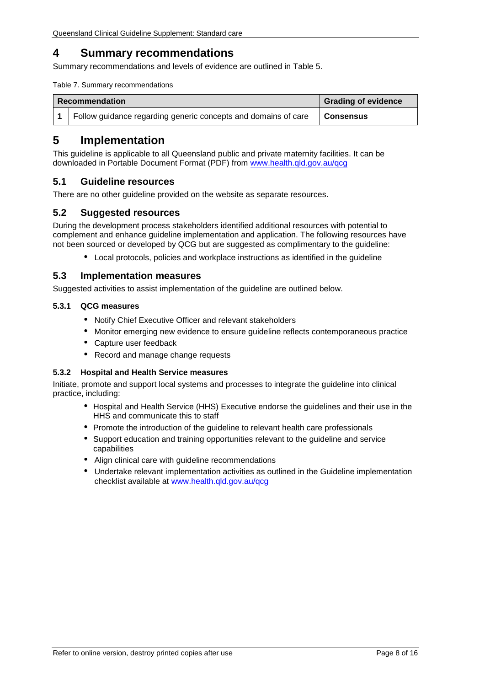# <span id="page-7-0"></span>**4 Summary recommendations**

<span id="page-7-7"></span>Summary recommendations and levels of evidence are outlined in Table 5.

Table 7. Summary recommendations

| <b>Recommendation</b>                                          | <b>Grading of evidence</b> |
|----------------------------------------------------------------|----------------------------|
| Follow guidance regarding generic concepts and domains of care | Consensus                  |

## <span id="page-7-1"></span>**5 Implementation**

This guideline is applicable to all Queensland public and private maternity facilities. It can be downloaded in Portable Document Format (PDF) from [www.health.qld.gov.au/qcg](http://www.health.qld.gov.au/qcg)

#### <span id="page-7-2"></span>**5.1 Guideline resources**

<span id="page-7-3"></span>There are no other guideline provided on the website as separate resources.

#### **5.2 Suggested resources**

During the development process stakeholders identified additional resources with potential to complement and enhance guideline implementation and application. The following resources have not been sourced or developed by QCG but are suggested as complimentary to the guideline:

Local protocols, policies and workplace instructions as identified in the guideline

#### <span id="page-7-4"></span>**5.3 Implementation measures**

Suggested activities to assist implementation of the guideline are outlined below.

#### <span id="page-7-5"></span>**5.3.1 QCG measures**

- Notify Chief Executive Officer and relevant stakeholders
- Monitor emerging new evidence to ensure guideline reflects contemporaneous practice
- Capture user feedback
- Record and manage change requests

#### <span id="page-7-6"></span>**5.3.2 Hospital and Health Service measures**

Initiate, promote and support local systems and processes to integrate the guideline into clinical practice, including:

- Hospital and Health Service (HHS) Executive endorse the guidelines and their use in the HHS and communicate this to staff
- Promote the introduction of the guideline to relevant health care professionals
- Support education and training opportunities relevant to the guideline and service capabilities
- Align clinical care with guideline recommendations
- Undertake relevant implementation activities as outlined in the Guideline implementation checklist available at [www.health.qld.gov.au/qcg](http://www.health.qld.gov.au/qcg)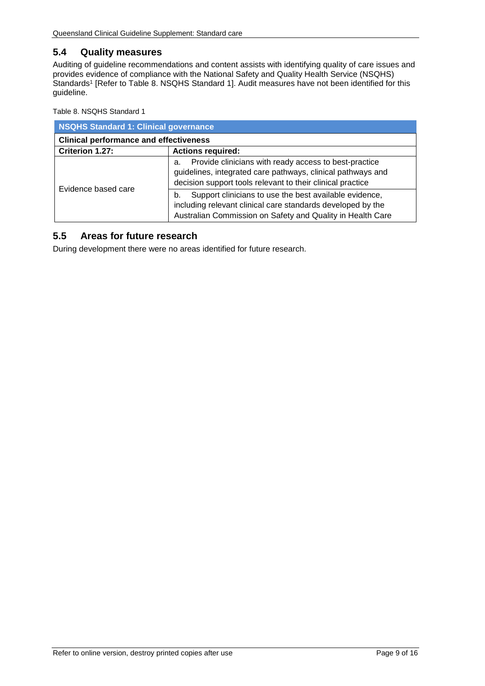### <span id="page-8-0"></span>**5.4 Quality measures**

Auditing of guideline recommendations and content assists with identifying quality of care issues and provides evidence of compliance with the National Safety and Quality Health Service (NSQHS) Standards<sup>1</sup> [Refer to Table 8. [NSQHS Standard 1\]](#page-8-2). Audit measures have not been identified for this guideline.

<span id="page-8-2"></span>Table 8. NSQHS Standard 1

| <b>NSQHS Standard 1: Clinical governance</b>  |                                                                                                                                                                                           |  |
|-----------------------------------------------|-------------------------------------------------------------------------------------------------------------------------------------------------------------------------------------------|--|
| <b>Clinical performance and effectiveness</b> |                                                                                                                                                                                           |  |
| Criterion 1.27:                               | <b>Actions required:</b>                                                                                                                                                                  |  |
| Evidence based care                           | Provide clinicians with ready access to best-practice<br>а.<br>guidelines, integrated care pathways, clinical pathways and<br>decision support tools relevant to their clinical practice  |  |
|                                               | Support clinicians to use the best available evidence,<br>b.<br>including relevant clinical care standards developed by the<br>Australian Commission on Safety and Quality in Health Care |  |

#### <span id="page-8-1"></span>**5.5 Areas for future research**

During development there were no areas identified for future research.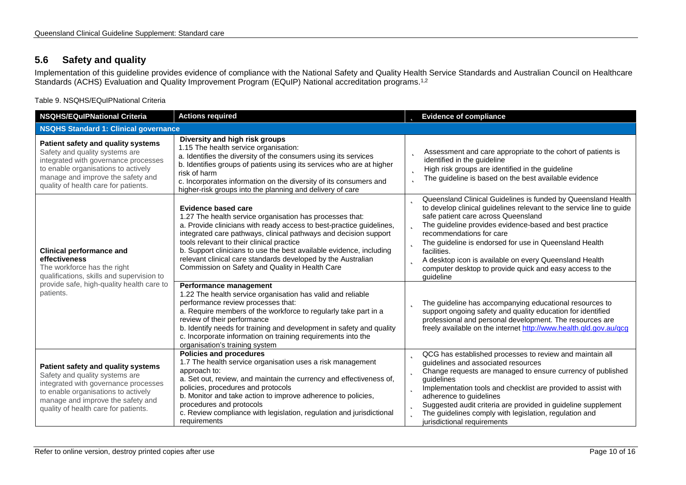## **5.6 Safety and quality**

Implementation of this guideline provides evidence of compliance with the National Safety and Quality Health Service Standards and Australian Council on Healthcare Standards (ACHS) Evaluation and Quality Improvement Program (EQuIP) National accreditation programs.1,2

Table 9. NSQHS/EQuIPNational Criteria

<span id="page-9-1"></span><span id="page-9-0"></span>

| <b>NSQHS/EQuIPNational Criteria</b>                                                                                                                                                                                              | <b>Actions required</b>                                                                                                                                                                                                                                                                                                                                                                                                                                                   | <b>b</b> Evidence of compliance                                                                                                                                                                                                                                                                                                                                                                                                                                                               |
|----------------------------------------------------------------------------------------------------------------------------------------------------------------------------------------------------------------------------------|---------------------------------------------------------------------------------------------------------------------------------------------------------------------------------------------------------------------------------------------------------------------------------------------------------------------------------------------------------------------------------------------------------------------------------------------------------------------------|-----------------------------------------------------------------------------------------------------------------------------------------------------------------------------------------------------------------------------------------------------------------------------------------------------------------------------------------------------------------------------------------------------------------------------------------------------------------------------------------------|
| <b>NSQHS Standard 1: Clinical governance</b>                                                                                                                                                                                     |                                                                                                                                                                                                                                                                                                                                                                                                                                                                           |                                                                                                                                                                                                                                                                                                                                                                                                                                                                                               |
| Patient safety and quality systems<br>Safety and quality systems are<br>integrated with governance processes<br>to enable organisations to actively<br>manage and improve the safety and<br>quality of health care for patients. | Diversity and high risk groups<br>1.15 The health service organisation:<br>a. Identifies the diversity of the consumers using its services<br>b. Identifies groups of patients using its services who are at higher<br>risk of harm<br>c. Incorporates information on the diversity of its consumers and<br>higher-risk groups into the planning and delivery of care                                                                                                     | Assessment and care appropriate to the cohort of patients is<br>Þ<br>identified in the guideline<br>High risk groups are identified in the guideline<br>þ<br>The guideline is based on the best available evidence<br>þ                                                                                                                                                                                                                                                                       |
| <b>Clinical performance and</b><br>effectiveness<br>The workforce has the right<br>qualifications, skills and supervision to                                                                                                     | <b>Evidence based care</b><br>1.27 The health service organisation has processes that:<br>a. Provide clinicians with ready access to best-practice guidelines,<br>integrated care pathways, clinical pathways and decision support<br>tools relevant to their clinical practice<br>b. Support clinicians to use the best available evidence, including<br>relevant clinical care standards developed by the Australian<br>Commission on Safety and Quality in Health Care | Queensland Clinical Guidelines is funded by Queensland Health<br>b<br>to develop clinical guidelines relevant to the service line to guide<br>safe patient care across Queensland<br>The guideline provides evidence-based and best practice<br>recommendations for care<br><b>b</b> The guideline is endorsed for use in Queensland Health<br>facilities.<br>A desktop icon is available on every Queensland Health<br>computer desktop to provide quick and easy access to the<br>guideline |
| provide safe, high-quality health care to<br>patients.                                                                                                                                                                           | Performance management<br>1.22 The health service organisation has valid and reliable<br>performance review processes that:<br>a. Require members of the workforce to regularly take part in a<br>review of their performance<br>b. Identify needs for training and development in safety and quality<br>c. Incorporate information on training requirements into the<br>organisation's training system                                                                   | The guideline has accompanying educational resources to<br>support ongoing safety and quality education for identified<br>professional and personal development. The resources are<br>freely available on the internet http://www.health.qld.gov.au/qcg                                                                                                                                                                                                                                       |
| Patient safety and quality systems<br>Safety and quality systems are<br>integrated with governance processes<br>to enable organisations to actively<br>manage and improve the safety and<br>quality of health care for patients. | <b>Policies and procedures</b><br>1.7 The health service organisation uses a risk management<br>approach to:<br>a. Set out, review, and maintain the currency and effectiveness of,<br>policies, procedures and protocols<br>b. Monitor and take action to improve adherence to policies,<br>procedures and protocols<br>c. Review compliance with legislation, regulation and jurisdictional<br>requirements                                                             | <b>D</b> QCG has established processes to review and maintain all<br>guidelines and associated resources<br><b>b</b> Change requests are managed to ensure currency of published<br>guidelines<br>Implementation tools and checklist are provided to assist with<br>b.<br>adherence to guidelines<br>Suggested audit criteria are provided in guideline supplement<br>b<br>The guidelines comply with legislation, regulation and<br>b<br>jurisdictional requirements                         |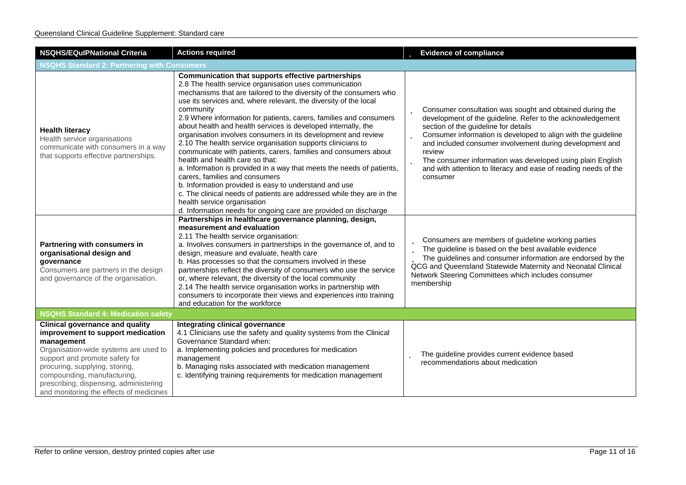| <b>NSQHS/EQuIPNational Criteria</b>                                                                                                                                                                                                                                                                                        | <b>Actions required</b>                                                                                                                                                                                                                                                                                                                                                                                                                                                                                                                                                                                                                                                                                                                                                                                                                                                                                                                                                                         | <b>b</b> Evidence of compliance                                                                                                                                                                                                                                                                                                                                                                                                                                       |
|----------------------------------------------------------------------------------------------------------------------------------------------------------------------------------------------------------------------------------------------------------------------------------------------------------------------------|-------------------------------------------------------------------------------------------------------------------------------------------------------------------------------------------------------------------------------------------------------------------------------------------------------------------------------------------------------------------------------------------------------------------------------------------------------------------------------------------------------------------------------------------------------------------------------------------------------------------------------------------------------------------------------------------------------------------------------------------------------------------------------------------------------------------------------------------------------------------------------------------------------------------------------------------------------------------------------------------------|-----------------------------------------------------------------------------------------------------------------------------------------------------------------------------------------------------------------------------------------------------------------------------------------------------------------------------------------------------------------------------------------------------------------------------------------------------------------------|
| <b>NSQHS Standard 2: Partnering with Consumers</b>                                                                                                                                                                                                                                                                         |                                                                                                                                                                                                                                                                                                                                                                                                                                                                                                                                                                                                                                                                                                                                                                                                                                                                                                                                                                                                 |                                                                                                                                                                                                                                                                                                                                                                                                                                                                       |
| <b>Health literacy</b><br>Health service organisations<br>communicate with consumers in a way<br>that supports effective partnerships.                                                                                                                                                                                     | Communication that supports effective partnerships<br>2.8 The health service organisation uses communication<br>mechanisms that are tailored to the diversity of the consumers who<br>use its services and, where relevant, the diversity of the local<br>community<br>2.9 Where information for patients, carers, families and consumers<br>about health and health services is developed internally, the<br>organisation involves consumers in its development and review<br>2.10 The health service organisation supports clinicians to<br>communicate with patients, carers, families and consumers about<br>health and health care so that:<br>a. Information is provided in a way that meets the needs of patients,<br>carers, families and consumers<br>b. Information provided is easy to understand and use<br>c. The clinical needs of patients are addressed while they are in the<br>health service organisation<br>d. Information needs for ongoing care are provided on discharge | <b>b</b> Consumer consultation was sought and obtained during the<br>development of the guideline. Refer to the acknowledgement<br>section of the guideline for details<br>Consumer information is developed to align with the guideline<br>b<br>and included consumer involvement during development and<br>review<br>The consumer information was developed using plain English<br>b<br>and with attention to literacy and ease of reading needs of the<br>consumer |
| Partnering with consumers in<br>organisational design and<br>governance<br>Consumers are partners in the design<br>and governance of the organisation.                                                                                                                                                                     | Partnerships in healthcare governance planning, design,<br>measurement and evaluation<br>2.11 The health service organisation:<br>a. Involves consumers in partnerships in the governance of, and to<br>design, measure and evaluate, health care<br>b. Has processes so that the consumers involved in these<br>partnerships reflect the diversity of consumers who use the service<br>or, where relevant, the diversity of the local community<br>2.14 The health service organisation works in partnership with<br>consumers to incorporate their views and experiences into training<br>and education for the workforce                                                                                                                                                                                                                                                                                                                                                                     | <b>D</b> Consumers are members of guideline working parties<br>The guideline is based on the best available evidence<br>The guidelines and consumer information are endorsed by the<br>QCG and Queensland Statewide Maternity and Neonatal Clinical<br>Network Steering Committees which includes consumer<br>membership                                                                                                                                              |
| <b>NSQHS Standard 4: Medication safety</b>                                                                                                                                                                                                                                                                                 |                                                                                                                                                                                                                                                                                                                                                                                                                                                                                                                                                                                                                                                                                                                                                                                                                                                                                                                                                                                                 |                                                                                                                                                                                                                                                                                                                                                                                                                                                                       |
| <b>Clinical governance and quality</b><br>improvement to support medication<br>management<br>Organisation-wide systems are used to<br>support and promote safety for<br>procuring, supplying, storing,<br>compounding, manufacturing,<br>prescribing, dispensing, administering<br>and monitoring the effects of medicines | Integrating clinical governance<br>4.1 Clinicians use the safety and quality systems from the Clinical<br>Governance Standard when:<br>a. Implementing policies and procedures for medication<br>management<br>b. Managing risks associated with medication management<br>c. Identifying training requirements for medication management                                                                                                                                                                                                                                                                                                                                                                                                                                                                                                                                                                                                                                                        | The guideline provides current evidence based<br>b<br>recommendations about medication                                                                                                                                                                                                                                                                                                                                                                                |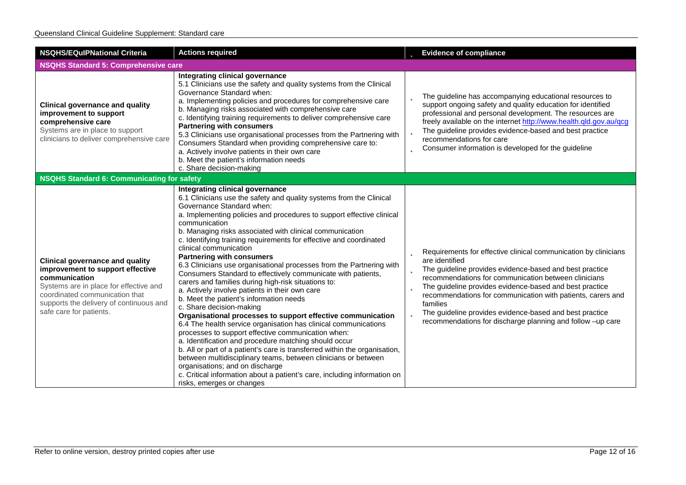| <b>NSQHS/EQulPNational Criteria</b>                                                                                                                                                                                                           | <b>Actions required</b>                                                                                                                                                                                                                                                                                                                                                                                                                                                                                                                                                                                                                                                                                                                                                                                                                                                                                                                                                                                                                                                                                                                                                                                                                                                                            | <b>b</b> Evidence of compliance                                                                                                                                                                                                                                                                                                                                                                                                                                                                     |
|-----------------------------------------------------------------------------------------------------------------------------------------------------------------------------------------------------------------------------------------------|----------------------------------------------------------------------------------------------------------------------------------------------------------------------------------------------------------------------------------------------------------------------------------------------------------------------------------------------------------------------------------------------------------------------------------------------------------------------------------------------------------------------------------------------------------------------------------------------------------------------------------------------------------------------------------------------------------------------------------------------------------------------------------------------------------------------------------------------------------------------------------------------------------------------------------------------------------------------------------------------------------------------------------------------------------------------------------------------------------------------------------------------------------------------------------------------------------------------------------------------------------------------------------------------------|-----------------------------------------------------------------------------------------------------------------------------------------------------------------------------------------------------------------------------------------------------------------------------------------------------------------------------------------------------------------------------------------------------------------------------------------------------------------------------------------------------|
| <b>NSQHS Standard 5: Comprehensive care</b>                                                                                                                                                                                                   |                                                                                                                                                                                                                                                                                                                                                                                                                                                                                                                                                                                                                                                                                                                                                                                                                                                                                                                                                                                                                                                                                                                                                                                                                                                                                                    |                                                                                                                                                                                                                                                                                                                                                                                                                                                                                                     |
| <b>Clinical governance and quality</b><br>improvement to support<br>comprehensive care<br>Systems are in place to support<br>clinicians to deliver comprehensive care                                                                         | Integrating clinical governance<br>5.1 Clinicians use the safety and quality systems from the Clinical<br>Governance Standard when:<br>a. Implementing policies and procedures for comprehensive care<br>b. Managing risks associated with comprehensive care<br>c. Identifying training requirements to deliver comprehensive care<br><b>Partnering with consumers</b><br>5.3 Clinicians use organisational processes from the Partnering with<br>Consumers Standard when providing comprehensive care to:<br>a. Actively involve patients in their own care<br>b. Meet the patient's information needs<br>c. Share decision-making                                                                                                                                                                                                                                                                                                                                                                                                                                                                                                                                                                                                                                                               | <b>b</b> The guideline has accompanying educational resources to<br>support ongoing safety and quality education for identified<br>professional and personal development. The resources are<br>freely available on the internet http://www.health.qld.gov.au/qcg<br><b>b</b> The guideline provides evidence-based and best practice<br>recommendations for care<br>Consumer information is developed for the guideline<br>b                                                                        |
| NSQHS Standard 6: Communicating for safety                                                                                                                                                                                                    |                                                                                                                                                                                                                                                                                                                                                                                                                                                                                                                                                                                                                                                                                                                                                                                                                                                                                                                                                                                                                                                                                                                                                                                                                                                                                                    |                                                                                                                                                                                                                                                                                                                                                                                                                                                                                                     |
| <b>Clinical governance and quality</b><br>improvement to support effective<br>communication<br>Systems are in place for effective and<br>coordinated communication that<br>supports the delivery of continuous and<br>safe care for patients. | Integrating clinical governance<br>6.1 Clinicians use the safety and quality systems from the Clinical<br>Governance Standard when:<br>a. Implementing policies and procedures to support effective clinical<br>communication<br>b. Managing risks associated with clinical communication<br>c. Identifying training requirements for effective and coordinated<br>clinical communication<br><b>Partnering with consumers</b><br>6.3 Clinicians use organisational processes from the Partnering with<br>Consumers Standard to effectively communicate with patients,<br>carers and families during high-risk situations to:<br>a. Actively involve patients in their own care<br>b. Meet the patient's information needs<br>c. Share decision-making<br>Organisational processes to support effective communication<br>6.4 The health service organisation has clinical communications<br>processes to support effective communication when:<br>a. Identification and procedure matching should occur<br>b. All or part of a patient's care is transferred within the organisation,<br>between multidisciplinary teams, between clinicians or between<br>organisations; and on discharge<br>c. Critical information about a patient's care, including information on<br>risks, emerges or changes | <b>D</b> Requirements for effective clinical communication by clinicians<br>are identified<br><b>b</b> The guideline provides evidence-based and best practice<br>recommendations for communication between clinicians<br><b>b</b> The guideline provides evidence-based and best practice<br>recommendations for communication with patients, carers and<br>families<br>The guideline provides evidence-based and best practice<br>Þ<br>recommendations for discharge planning and follow -up care |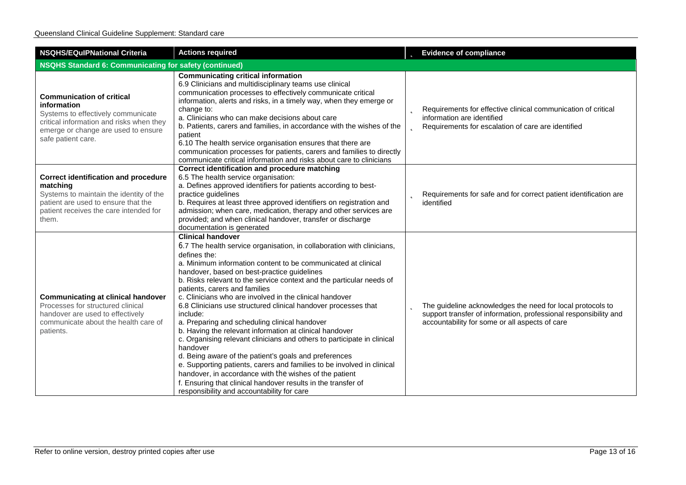| <b>NSQHS/EQulPNational Criteria</b>                                                                                                                                                            | <b>Actions required</b>                                                                                                                                                                                                                                                                                                                                                                                                                                                                                                                                                                                                                                                                                                                                                                                                                                                                                                                                                                             | <b>b</b> Evidence of compliance                                                                                                                                                           |
|------------------------------------------------------------------------------------------------------------------------------------------------------------------------------------------------|-----------------------------------------------------------------------------------------------------------------------------------------------------------------------------------------------------------------------------------------------------------------------------------------------------------------------------------------------------------------------------------------------------------------------------------------------------------------------------------------------------------------------------------------------------------------------------------------------------------------------------------------------------------------------------------------------------------------------------------------------------------------------------------------------------------------------------------------------------------------------------------------------------------------------------------------------------------------------------------------------------|-------------------------------------------------------------------------------------------------------------------------------------------------------------------------------------------|
| <b>NSQHS Standard 6: Communicating for safety (continued)</b>                                                                                                                                  |                                                                                                                                                                                                                                                                                                                                                                                                                                                                                                                                                                                                                                                                                                                                                                                                                                                                                                                                                                                                     |                                                                                                                                                                                           |
| <b>Communication of critical</b><br>information<br>Systems to effectively communicate<br>critical information and risks when they<br>emerge or change are used to ensure<br>safe patient care. | <b>Communicating critical information</b><br>6.9 Clinicians and multidisciplinary teams use clinical<br>communication processes to effectively communicate critical<br>information, alerts and risks, in a timely way, when they emerge or<br>change to:<br>a. Clinicians who can make decisions about care<br>b. Patients, carers and families, in accordance with the wishes of the<br>patient<br>6.10 The health service organisation ensures that there are<br>communication processes for patients, carers and families to directly<br>communicate critical information and risks about care to clinicians                                                                                                                                                                                                                                                                                                                                                                                     | <b>b</b> Requirements for effective clinical communication of critical<br>information are identified<br><b>b</b> Requirements for escalation of care are identified                       |
| <b>Correct identification and procedure</b><br>matching<br>Systems to maintain the identity of the<br>patient are used to ensure that the<br>patient receives the care intended for<br>them.   | <b>Correct identification and procedure matching</b><br>6.5 The health service organisation:<br>a. Defines approved identifiers for patients according to best-<br>practice guidelines<br>b. Requires at least three approved identifiers on registration and<br>admission; when care, medication, therapy and other services are<br>provided; and when clinical handover, transfer or discharge<br>documentation is generated                                                                                                                                                                                                                                                                                                                                                                                                                                                                                                                                                                      | <b>b</b> Requirements for safe and for correct patient identification are<br>identified                                                                                                   |
| <b>Communicating at clinical handover</b><br>Processes for structured clinical<br>handover are used to effectively<br>communicate about the health care of<br>patients.                        | <b>Clinical handover</b><br>6.7 The health service organisation, in collaboration with clinicians,<br>defines the:<br>a. Minimum information content to be communicated at clinical<br>handover, based on best-practice guidelines<br>b. Risks relevant to the service context and the particular needs of<br>patients, carers and families<br>c. Clinicians who are involved in the clinical handover<br>6.8 Clinicians use structured clinical handover processes that<br>include:<br>a. Preparing and scheduling clinical handover<br>b. Having the relevant information at clinical handover<br>c. Organising relevant clinicians and others to participate in clinical<br>handover<br>d. Being aware of the patient's goals and preferences<br>e. Supporting patients, carers and families to be involved in clinical<br>handover, in accordance with the wishes of the patient<br>f. Ensuring that clinical handover results in the transfer of<br>responsibility and accountability for care | <b>b</b> The guideline acknowledges the need for local protocols to<br>support transfer of information, professional responsibility and<br>accountability for some or all aspects of care |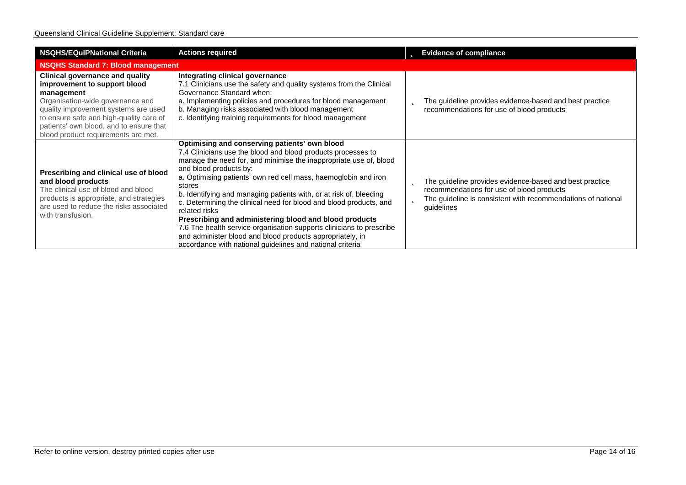| <b>NSQHS/EQuIPNational Criteria</b>                                                                                                                                                                                                                                                           | <b>Actions required</b>                                                                                                                                                                                                                                                                                                                                                                                                                                                                                                                                                                                                                                                                                            | <b>b</b> Evidence of compliance                                                                                                                                                              |
|-----------------------------------------------------------------------------------------------------------------------------------------------------------------------------------------------------------------------------------------------------------------------------------------------|--------------------------------------------------------------------------------------------------------------------------------------------------------------------------------------------------------------------------------------------------------------------------------------------------------------------------------------------------------------------------------------------------------------------------------------------------------------------------------------------------------------------------------------------------------------------------------------------------------------------------------------------------------------------------------------------------------------------|----------------------------------------------------------------------------------------------------------------------------------------------------------------------------------------------|
| <b>NSQHS Standard 7: Blood management</b>                                                                                                                                                                                                                                                     |                                                                                                                                                                                                                                                                                                                                                                                                                                                                                                                                                                                                                                                                                                                    |                                                                                                                                                                                              |
| <b>Clinical governance and quality</b><br>improvement to support blood<br>management<br>Organisation-wide governance and<br>quality improvement systems are used<br>to ensure safe and high-quality care of<br>patients' own blood, and to ensure that<br>blood product requirements are met. | Integrating clinical governance<br>7.1 Clinicians use the safety and quality systems from the Clinical<br>Governance Standard when:<br>a. Implementing policies and procedures for blood management<br>b. Managing risks associated with blood management<br>c. Identifying training requirements for blood management                                                                                                                                                                                                                                                                                                                                                                                             | The guideline provides evidence-based and best practice<br>Þ<br>recommendations for use of blood products                                                                                    |
| Prescribing and clinical use of blood<br>and blood products<br>The clinical use of blood and blood<br>products is appropriate, and strategies<br>are used to reduce the risks associated<br>with transfusion.                                                                                 | Optimising and conserving patients' own blood<br>7.4 Clinicians use the blood and blood products processes to<br>manage the need for, and minimise the inappropriate use of, blood<br>and blood products by:<br>a. Optimising patients' own red cell mass, haemoglobin and iron<br>stores<br>b. Identifying and managing patients with, or at risk of, bleeding<br>c. Determining the clinical need for blood and blood products, and<br>related risks<br>Prescribing and administering blood and blood products<br>7.6 The health service organisation supports clinicians to prescribe<br>and administer blood and blood products appropriately, in<br>accordance with national guidelines and national criteria | The guideline provides evidence-based and best practice<br>b<br>recommendations for use of blood products<br>The guideline is consistent with recommendations of national<br>Þ<br>guidelines |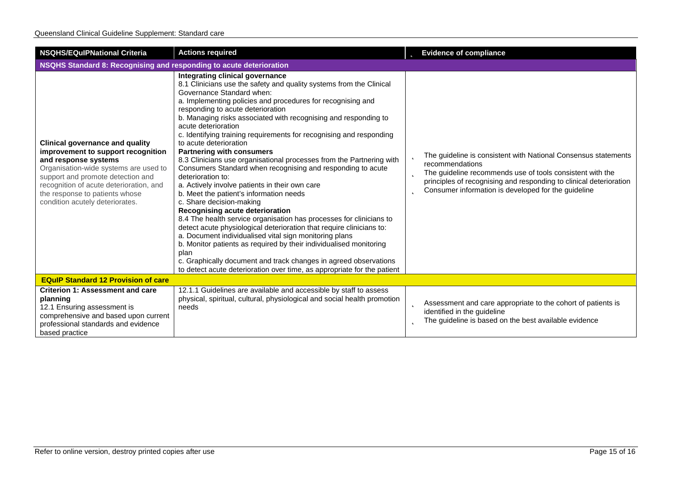| <b>NSQHS/EQulPNational Criteria</b>                                                                                                                                                                                                                                                                | <b>Actions required</b>                                                                                                                                                                                                                                                                                                                                                                                                                                                                                                                                                                                                                                                                                                                                                                                                                                                                                                                                                                                                                                                                                                                                                                                                              | <b>b</b> Evidence of compliance                                                                                                                                                                                                                                                       |
|----------------------------------------------------------------------------------------------------------------------------------------------------------------------------------------------------------------------------------------------------------------------------------------------------|--------------------------------------------------------------------------------------------------------------------------------------------------------------------------------------------------------------------------------------------------------------------------------------------------------------------------------------------------------------------------------------------------------------------------------------------------------------------------------------------------------------------------------------------------------------------------------------------------------------------------------------------------------------------------------------------------------------------------------------------------------------------------------------------------------------------------------------------------------------------------------------------------------------------------------------------------------------------------------------------------------------------------------------------------------------------------------------------------------------------------------------------------------------------------------------------------------------------------------------|---------------------------------------------------------------------------------------------------------------------------------------------------------------------------------------------------------------------------------------------------------------------------------------|
| NSQHS Standard 8: Recognising and responding to acute deterioration                                                                                                                                                                                                                                |                                                                                                                                                                                                                                                                                                                                                                                                                                                                                                                                                                                                                                                                                                                                                                                                                                                                                                                                                                                                                                                                                                                                                                                                                                      |                                                                                                                                                                                                                                                                                       |
| <b>Clinical governance and quality</b><br>improvement to support recognition<br>and response systems<br>Organisation-wide systems are used to<br>support and promote detection and<br>recognition of acute deterioration, and<br>the response to patients whose<br>condition acutely deteriorates. | Integrating clinical governance<br>8.1 Clinicians use the safety and quality systems from the Clinical<br>Governance Standard when:<br>a. Implementing policies and procedures for recognising and<br>responding to acute deterioration<br>b. Managing risks associated with recognising and responding to<br>acute deterioration<br>c. Identifying training requirements for recognising and responding<br>to acute deterioration<br><b>Partnering with consumers</b><br>8.3 Clinicians use organisational processes from the Partnering with<br>Consumers Standard when recognising and responding to acute<br>deterioration to:<br>a. Actively involve patients in their own care<br>b. Meet the patient's information needs<br>c. Share decision-making<br>Recognising acute deterioration<br>8.4 The health service organisation has processes for clinicians to<br>detect acute physiological deterioration that require clinicians to:<br>a. Document individualised vital sign monitoring plans<br>b. Monitor patients as required by their individualised monitoring<br>plan<br>c. Graphically document and track changes in agreed observations<br>to detect acute deterioration over time, as appropriate for the patient | The guideline is consistent with National Consensus statements<br>recommendations<br>The guideline recommends use of tools consistent with the<br>Þ<br>principles of recognising and responding to clinical deterioration<br>Consumer information is developed for the guideline<br>b |
| <b>EQuIP Standard 12 Provision of care</b>                                                                                                                                                                                                                                                         |                                                                                                                                                                                                                                                                                                                                                                                                                                                                                                                                                                                                                                                                                                                                                                                                                                                                                                                                                                                                                                                                                                                                                                                                                                      |                                                                                                                                                                                                                                                                                       |
| <b>Criterion 1: Assessment and care</b><br>planning<br>12.1 Ensuring assessment is<br>comprehensive and based upon current<br>professional standards and evidence<br>based practice                                                                                                                | 12.1.1 Guidelines are available and accessible by staff to assess<br>physical, spiritual, cultural, physiological and social health promotion<br>needs                                                                                                                                                                                                                                                                                                                                                                                                                                                                                                                                                                                                                                                                                                                                                                                                                                                                                                                                                                                                                                                                               | Assessment and care appropriate to the cohort of patients is<br>þ<br>identified in the guideline<br>The guideline is based on the best available evidence<br>b                                                                                                                        |